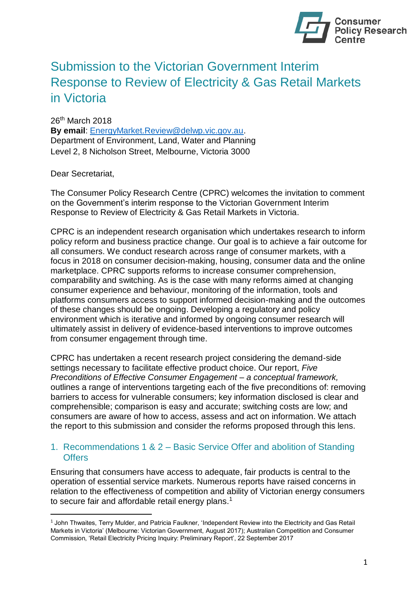

# Submission to the Victorian Government Interim Response to Review of Electricity & Gas Retail Markets in Victoria

26<sup>th</sup> March 2018 **By email**: [EnergyMarket.Review@delwp.vic.gov.au.](mailto:EnergyMarket.Review@delwp.vic.gov.au) Department of Environment, Land, Water and Planning Level 2, 8 Nicholson Street, Melbourne, Victoria 3000

Dear Secretariat,

 $\overline{a}$ 

The Consumer Policy Research Centre (CPRC) welcomes the invitation to comment on the Government's interim response to the Victorian Government Interim Response to Review of Electricity & Gas Retail Markets in Victoria.

CPRC is an independent research organisation which undertakes research to inform policy reform and business practice change. Our goal is to achieve a fair outcome for all consumers. We conduct research across range of consumer markets, with a focus in 2018 on consumer decision-making, housing, consumer data and the online marketplace. CPRC supports reforms to increase consumer comprehension, comparability and switching. As is the case with many reforms aimed at changing consumer experience and behaviour, monitoring of the information, tools and platforms consumers access to support informed decision-making and the outcomes of these changes should be ongoing. Developing a regulatory and policy environment which is iterative and informed by ongoing consumer research will ultimately assist in delivery of evidence-based interventions to improve outcomes from consumer engagement through time.

CPRC has undertaken a recent research project considering the demand-side settings necessary to facilitate effective product choice. Our report, *Five Preconditions of Effective Consumer Engagement – a conceptual framework,*  outlines a range of interventions targeting each of the five preconditions of: removing barriers to access for vulnerable consumers; key information disclosed is clear and comprehensible; comparison is easy and accurate; switching costs are low; and consumers are aware of how to access, assess and act on information. We attach the report to this submission and consider the reforms proposed through this lens.

#### 1. Recommendations 1 & 2 – Basic Service Offer and abolition of Standing **Offers**

Ensuring that consumers have access to adequate, fair products is central to the operation of essential service markets. Numerous reports have raised concerns in relation to the effectiveness of competition and ability of Victorian energy consumers to secure fair and affordable retail energy plans.<sup>1</sup>

<sup>1</sup> John Thwaites, Terry Mulder, and Patricia Faulkner, 'Independent Review into the Electricity and Gas Retail Markets in Victoria' (Melbourne: Victorian Government, August 2017); Australian Competition and Consumer Commission, 'Retail Electricity Pricing Inquiry: Preliminary Report', 22 September 2017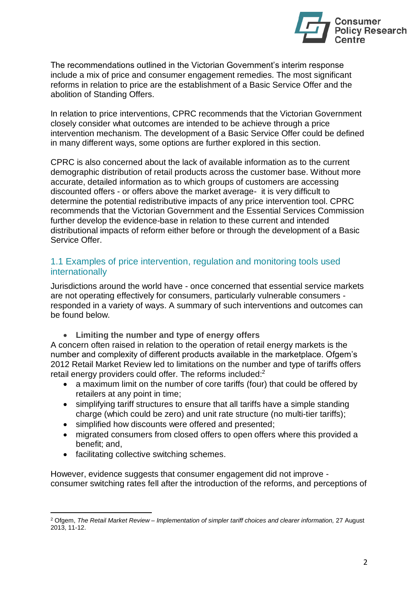

The recommendations outlined in the Victorian Government's interim response include a mix of price and consumer engagement remedies. The most significant reforms in relation to price are the establishment of a Basic Service Offer and the abolition of Standing Offers.

In relation to price interventions, CPRC recommends that the Victorian Government closely consider what outcomes are intended to be achieve through a price intervention mechanism. The development of a Basic Service Offer could be defined in many different ways, some options are further explored in this section.

CPRC is also concerned about the lack of available information as to the current demographic distribution of retail products across the customer base. Without more accurate, detailed information as to which groups of customers are accessing discounted offers - or offers above the market average- it is very difficult to determine the potential redistributive impacts of any price intervention tool. CPRC recommends that the Victorian Government and the Essential Services Commission further develop the evidence-base in relation to these current and intended distributional impacts of reform either before or through the development of a Basic Service Offer.

# 1.1 Examples of price intervention, regulation and monitoring tools used internationally

Jurisdictions around the world have - once concerned that essential service markets are not operating effectively for consumers, particularly vulnerable consumers responded in a variety of ways. A summary of such interventions and outcomes can be found below.

• **Limiting the number and type of energy offers** 

A concern often raised in relation to the operation of retail energy markets is the number and complexity of different products available in the marketplace. Ofgem's 2012 Retail Market Review led to limitations on the number and type of tariffs offers retail energy providers could offer. The reforms included: $2$ 

- a maximum limit on the number of core tariffs (four) that could be offered by retailers at any point in time;
- simplifying tariff structures to ensure that all tariffs have a simple standing charge (which could be zero) and unit rate structure (no multi-tier tariffs);
- simplified how discounts were offered and presented;
- migrated consumers from closed offers to open offers where this provided a benefit; and,
- facilitating collective switching schemes.

 $\overline{a}$ 

However, evidence suggests that consumer engagement did not improve consumer switching rates fell after the introduction of the reforms, and perceptions of

<sup>2</sup> Ofgem, *The Retail Market Review – Implementation of simpler tariff choices and clearer information,* 27 August 2013, 11-12.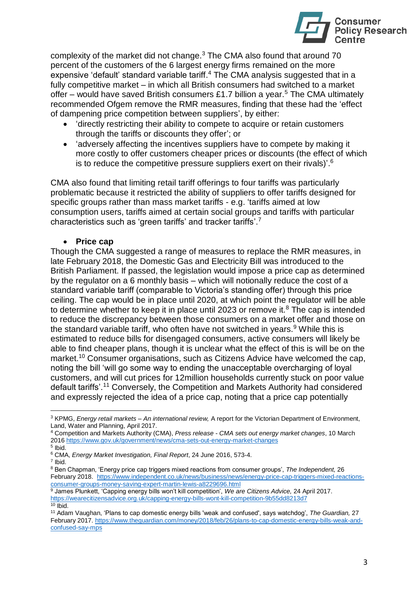

complexity of the market did not change.<sup>3</sup> The CMA also found that around 70 percent of the customers of the 6 largest energy firms remained on the more expensive 'default' standard variable tariff.<sup>4</sup> The CMA analysis suggested that in a fully competitive market – in which all British consumers had switched to a market offer – would have saved British consumers £1.7 billion a year.<sup>5</sup> The CMA ultimately recommended Ofgem remove the RMR measures, finding that these had the 'effect of dampening price competition between suppliers', by either:

- 'directly restricting their ability to compete to acquire or retain customers through the tariffs or discounts they offer'; or
- 'adversely affecting the incentives suppliers have to compete by making it more costly to offer customers cheaper prices or discounts (the effect of which is to reduce the competitive pressure suppliers exert on their rivals)'.<sup>6</sup>

CMA also found that limiting retail tariff offerings to four tariffs was particularly problematic because it restricted the ability of suppliers to offer tariffs designed for specific groups rather than mass market tariffs - e.g. 'tariffs aimed at low consumption users, tariffs aimed at certain social groups and tariffs with particular characteristics such as 'green tariffs' and tracker tariffs'.<sup>7</sup>

#### • **Price cap**

Though the CMA suggested a range of measures to replace the RMR measures, in late February 2018, the Domestic Gas and Electricity Bill was introduced to the British Parliament. If passed, the legislation would impose a price cap as determined by the regulator on a 6 monthly basis – which will notionally reduce the cost of a standard variable tariff (comparable to Victoria's standing offer) through this price ceiling. The cap would be in place until 2020, at which point the regulator will be able to determine whether to keep it in place until 2023 or remove it. $8$  The cap is intended to reduce the discrepancy between those consumers on a market offer and those on the standard variable tariff, who often have not switched in years. While this is estimated to reduce bills for disengaged consumers, active consumers will likely be able to find cheaper plans, though it is unclear what the effect of this is will be on the market.<sup>10</sup> Consumer organisations, such as Citizens Advice have welcomed the cap, noting the bill 'will go some way to ending the unacceptable overcharging of loyal customers, and will cut prices for 12million households currently stuck on poor value default tariffs'.<sup>11</sup> Conversely, the Competition and Markets Authority had considered and expressly rejected the idea of a price cap, noting that a price cap potentially

7 Ibid.

<sup>3</sup> KPMG, *Energy retail markets – An international review,* A report for the Victorian Department of Environment, Land, Water and Planning, April 2017.

<sup>4</sup> Competition and Markets Authority (CMA), *Press release - CMA sets out energy market changes*, 10 March 2016 <https://www.gov.uk/government/news/cma-sets-out-energy-market-changes>

<sup>5</sup> Ibid. <sup>6</sup> CMA, *Energy Market Investigation, Final Report*, 24 June 2016, 573-4.

<sup>8</sup> Ben Chapman, 'Energy price cap triggers mixed reactions from consumer groups', *The Independent,* 26 February 2018. [https://www.independent.co.uk/news/business/news/energy-price-cap-triggers-mixed-reactions](https://www.independent.co.uk/news/business/news/energy-price-cap-triggers-mixed-reactions-consumer-groups-money-saving-expert-martin-lewis-a8229696.html)[consumer-groups-money-saving-expert-martin-lewis-a8229696.html](https://www.independent.co.uk/news/business/news/energy-price-cap-triggers-mixed-reactions-consumer-groups-money-saving-expert-martin-lewis-a8229696.html)

<sup>9</sup> James Plunkett, 'Capping energy bills won't kill competition', *We are Citizens Advice,* 24 April 2017. <https://wearecitizensadvice.org.uk/capping-energy-bills-wont-kill-competition-9b55dd8213d7>  $10$  Ibid.

<sup>11</sup> Adam Vaughan, 'Plans to cap domestic energy bills 'weak and confused', says watchdog', *The Guardian,* 27 February 2017. [https://www.theguardian.com/money/2018/feb/26/plans-to-cap-domestic-energy-bills-weak-and](https://www.theguardian.com/money/2018/feb/26/plans-to-cap-domestic-energy-bills-weak-and-confused-say-mps)[confused-say-mps](https://www.theguardian.com/money/2018/feb/26/plans-to-cap-domestic-energy-bills-weak-and-confused-say-mps)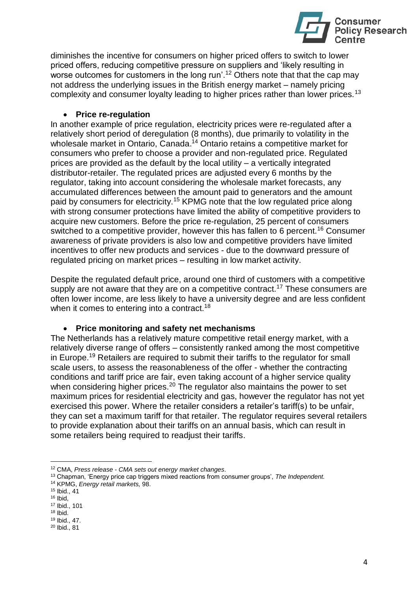

diminishes the incentive for consumers on higher priced offers to switch to lower priced offers, reducing competitive pressure on suppliers and 'likely resulting in worse outcomes for customers in the long run'.<sup>12</sup> Others note that that the cap may not address the underlying issues in the British energy market – namely pricing complexity and consumer loyalty leading to higher prices rather than lower prices.<sup>13</sup>

#### • **Price re-regulation**

In another example of price regulation, electricity prices were re-regulated after a relatively short period of deregulation (8 months), due primarily to volatility in the wholesale market in Ontario, Canada.<sup>14</sup> Ontario retains a competitive market for consumers who prefer to choose a provider and non-regulated price. Regulated prices are provided as the default by the local utility – a vertically integrated distributor-retailer. The regulated prices are adjusted every 6 months by the regulator, taking into account considering the wholesale market forecasts, any accumulated differences between the amount paid to generators and the amount paid by consumers for electricity.<sup>15</sup> KPMG note that the low regulated price along with strong consumer protections have limited the ability of competitive providers to acquire new customers. Before the price re-regulation, 25 percent of consumers switched to a competitive provider, however this has fallen to 6 percent.<sup>16</sup> Consumer awareness of private providers is also low and competitive providers have limited incentives to offer new products and services - due to the downward pressure of regulated pricing on market prices – resulting in low market activity.

Despite the regulated default price, around one third of customers with a competitive supply are not aware that they are on a competitive contract.<sup>17</sup> These consumers are often lower income, are less likely to have a university degree and are less confident when it comes to entering into a contract.<sup>18</sup>

#### • **Price monitoring and safety net mechanisms**

The Netherlands has a relatively mature competitive retail energy market, with a relatively diverse range of offers – consistently ranked among the most competitive in Europe.<sup>19</sup> Retailers are required to submit their tariffs to the regulator for small scale users, to assess the reasonableness of the offer - whether the contracting conditions and tariff price are fair, even taking account of a higher service quality when considering higher prices.<sup>20</sup> The regulator also maintains the power to set maximum prices for residential electricity and gas, however the regulator has not yet exercised this power. Where the retailer considers a retailer's tariff(s) to be unfair, they can set a maximum tariff for that retailer. The regulator requires several retailers to provide explanation about their tariffs on an annual basis, which can result in some retailers being required to readjust their tariffs.

<sup>12</sup> CMA, *Press release - CMA sets out energy market changes*.

<sup>13</sup> Chapman, 'Energy price cap triggers mixed reactions from consumer groups', *The Independent.* 

<sup>14</sup> KPMG, *Energy retail markets,* 98.

<sup>15</sup> Ibid., 41

 $16$  Ibid,

<sup>17</sup> Ibid., 101

 $18$  Ibid.

<sup>19</sup> Ibid., 47.

<sup>20</sup> Ibid., 81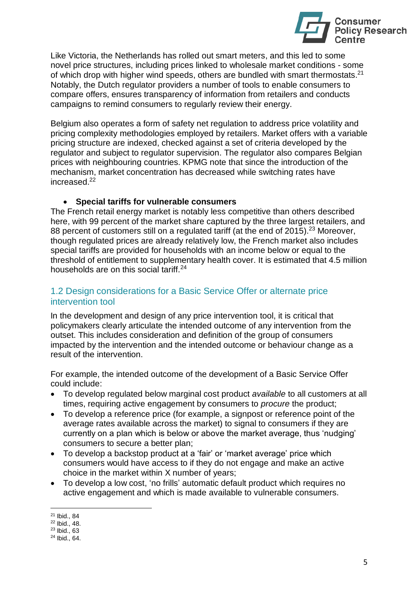

Like Victoria, the Netherlands has rolled out smart meters, and this led to some novel price structures, including prices linked to wholesale market conditions - some of which drop with higher wind speeds, others are bundled with smart thermostats. $^{21}$ Notably, the Dutch regulator providers a number of tools to enable consumers to compare offers, ensures transparency of information from retailers and conducts campaigns to remind consumers to regularly review their energy.

Belgium also operates a form of safety net regulation to address price volatility and pricing complexity methodologies employed by retailers. Market offers with a variable pricing structure are indexed, checked against a set of criteria developed by the regulator and subject to regulator supervision. The regulator also compares Belgian prices with neighbouring countries. KPMG note that since the introduction of the mechanism, market concentration has decreased while switching rates have increased.<sup>22</sup>

#### • **Special tariffs for vulnerable consumers**

The French retail energy market is notably less competitive than others described here, with 99 percent of the market share captured by the three largest retailers, and 88 percent of customers still on a regulated tariff (at the end of 2015).<sup>23</sup> Moreover, though regulated prices are already relatively low, the French market also includes special tariffs are provided for households with an income below or equal to the threshold of entitlement to supplementary health cover. It is estimated that 4.5 million households are on this social tariff.<sup>24</sup>

# 1.2 Design considerations for a Basic Service Offer or alternate price intervention tool

In the development and design of any price intervention tool, it is critical that policymakers clearly articulate the intended outcome of any intervention from the outset. This includes consideration and definition of the group of consumers impacted by the intervention and the intended outcome or behaviour change as a result of the intervention.

For example, the intended outcome of the development of a Basic Service Offer could include:

- To develop regulated below marginal cost product *available* to all customers at all times, requiring active engagement by consumers to *procure* the product;
- To develop a reference price (for example, a signpost or reference point of the average rates available across the market) to signal to consumers if they are currently on a plan which is below or above the market average, thus 'nudging' consumers to secure a better plan;
- To develop a backstop product at a 'fair' or 'market average' price which consumers would have access to if they do not engage and make an active choice in the market within X number of years;
- To develop a low cost, 'no frills' automatic default product which requires no active engagement and which is made available to vulnerable consumers.

l <sup>21</sup> Ibid., 84

 $22$  Ibid., 48.

<sup>23</sup> Ibid., 63

<sup>24</sup> Ibid., 64.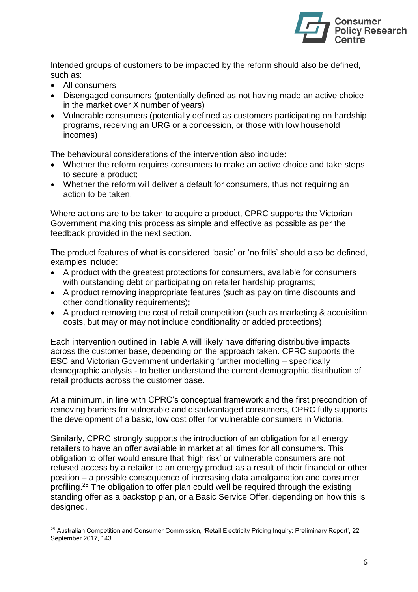

Intended groups of customers to be impacted by the reform should also be defined, such as:

- All consumers
- Disengaged consumers (potentially defined as not having made an active choice in the market over X number of years)
- Vulnerable consumers (potentially defined as customers participating on hardship programs, receiving an URG or a concession, or those with low household incomes)

The behavioural considerations of the intervention also include:

- Whether the reform requires consumers to make an active choice and take steps to secure a product;
- Whether the reform will deliver a default for consumers, thus not requiring an action to be taken.

Where actions are to be taken to acquire a product, CPRC supports the Victorian Government making this process as simple and effective as possible as per the feedback provided in the next section.

The product features of what is considered 'basic' or 'no frills' should also be defined, examples include:

- A product with the greatest protections for consumers, available for consumers with outstanding debt or participating on retailer hardship programs;
- A product removing inappropriate features (such as pay on time discounts and other conditionality requirements);
- A product removing the cost of retail competition (such as marketing & acquisition costs, but may or may not include conditionality or added protections).

Each intervention outlined in Table A will likely have differing distributive impacts across the customer base, depending on the approach taken. CPRC supports the ESC and Victorian Government undertaking further modelling – specifically demographic analysis - to better understand the current demographic distribution of retail products across the customer base.

At a minimum, in line with CPRC's conceptual framework and the first precondition of removing barriers for vulnerable and disadvantaged consumers, CPRC fully supports the development of a basic, low cost offer for vulnerable consumers in Victoria.

Similarly, CPRC strongly supports the introduction of an obligation for all energy retailers to have an offer available in market at all times for all consumers. This obligation to offer would ensure that 'high risk' or vulnerable consumers are not refused access by a retailer to an energy product as a result of their financial or other position – a possible consequence of increasing data amalgamation and consumer profiling.<sup>25</sup> The obligation to offer plan could well be required through the existing standing offer as a backstop plan, or a Basic Service Offer, depending on how this is designed.

 $\overline{a}$ <sup>25</sup> Australian Competition and Consumer Commission, 'Retail Electricity Pricing Inquiry: Preliminary Report', 22 September 2017, 143.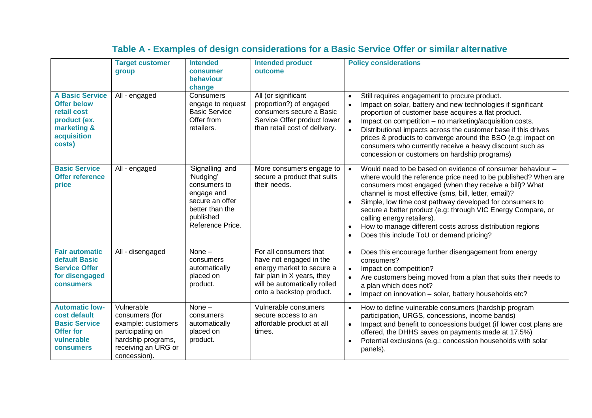|                                                                                                                     | <b>Target customer</b><br>group                                                                                                     | <b>Intended</b><br>consumer<br>behaviour<br>change                                                                                 | <b>Intended product</b><br>outcome                                                                                                                                       | <b>Policy considerations</b>                                                                                                                                                                                                                                                                                                                                                                                                                                                                                                     |
|---------------------------------------------------------------------------------------------------------------------|-------------------------------------------------------------------------------------------------------------------------------------|------------------------------------------------------------------------------------------------------------------------------------|--------------------------------------------------------------------------------------------------------------------------------------------------------------------------|----------------------------------------------------------------------------------------------------------------------------------------------------------------------------------------------------------------------------------------------------------------------------------------------------------------------------------------------------------------------------------------------------------------------------------------------------------------------------------------------------------------------------------|
| <b>A Basic Service</b><br><b>Offer below</b><br>retail cost<br>product (ex.<br>marketing &<br>acquisition<br>costs) | All - engaged                                                                                                                       | Consumers<br>engage to request<br><b>Basic Service</b><br>Offer from<br>retailers.                                                 | All (or significant<br>proportion?) of engaged<br>consumers secure a Basic<br>Service Offer product lower<br>than retail cost of delivery.                               | Still requires engagement to procure product.<br>$\bullet$<br>Impact on solar, battery and new technologies if significant<br>proportion of customer base acquires a flat product.<br>Impact on competition - no marketing/acquisition costs.<br>$\bullet$<br>Distributional impacts across the customer base if this drives<br>prices & products to converge around the BSO (e.g: impact on<br>consumers who currently receive a heavy discount such as<br>concession or customers on hardship programs)                        |
| <b>Basic Service</b><br><b>Offer reference</b><br>price                                                             | All - engaged                                                                                                                       | 'Signalling' and<br>'Nudging'<br>consumers to<br>engage and<br>secure an offer<br>better than the<br>published<br>Reference Price. | More consumers engage to<br>secure a product that suits<br>their needs.                                                                                                  | Would need to be based on evidence of consumer behaviour -<br>$\bullet$<br>where would the reference price need to be published? When are<br>consumers most engaged (when they receive a bill)? What<br>channel is most effective (sms, bill, letter, email)?<br>Simple, low time cost pathway developed for consumers to<br>secure a better product (e.g: through VIC Energy Compare, or<br>calling energy retailers).<br>How to manage different costs across distribution regions<br>Does this include ToU or demand pricing? |
| <b>Fair automatic</b><br>default Basic<br><b>Service Offer</b><br>for disengaged<br><b>consumers</b>                | All - disengaged                                                                                                                    | None $-$<br>consumers<br>automatically<br>placed on<br>product.                                                                    | For all consumers that<br>have not engaged in the<br>energy market to secure a<br>fair plan in X years, they<br>will be automatically rolled<br>onto a backstop product. | Does this encourage further disengagement from energy<br>$\bullet$<br>consumers?<br>Impact on competition?<br>$\bullet$<br>Are customers being moved from a plan that suits their needs to<br>$\bullet$<br>a plan which does not?<br>Impact on innovation - solar, battery households etc?<br>$\bullet$                                                                                                                                                                                                                          |
| <b>Automatic low-</b><br>cost default<br><b>Basic Service</b><br><b>Offer for</b><br>vulnerable<br><b>consumers</b> | Vulnerable<br>consumers (for<br>example: customers<br>participating on<br>hardship programs,<br>receiving an URG or<br>concession). | None $-$<br>consumers<br>automatically<br>placed on<br>product.                                                                    | Vulnerable consumers<br>secure access to an<br>affordable product at all<br>times.                                                                                       | How to define vulnerable consumers (hardship program<br>$\bullet$<br>participation, URGS, concessions, income bands)<br>Impact and benefit to concessions budget (if lower cost plans are<br>$\bullet$<br>offered, the DHHS saves on payments made at 17.5%)<br>Potential exclusions (e.g.: concession households with solar<br>panels).                                                                                                                                                                                         |

# **Table A - Examples of design considerations for a Basic Service Offer or similar alternative**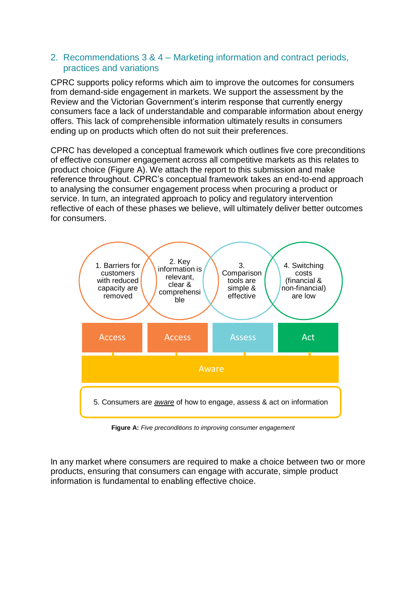#### 2. Recommendations 3 & 4 – Marketing information and contract periods, practices and variations

CPRC supports policy reforms which aim to improve the outcomes for consumers from demand-side engagement in markets. We support the assessment by the Review and the Victorian Government's interim response that currently energy consumers face a lack of understandable and comparable information about energy offers. This lack of comprehensible information ultimately results in consumers ending up on products which often do not suit their preferences.

CPRC has developed a conceptual framework which outlines five core preconditions of effective consumer engagement across all competitive markets as this relates to product choice (Figure A). We attach the report to this submission and make reference throughout. CPRC's conceptual framework takes an end-to-end approach to analysing the consumer engagement process when procuring a product or service. In turn, an integrated approach to policy and regulatory intervention reflective of each of these phases we believe, will ultimately deliver better outcomes for consumers.



**Figure A:** *Five preconditions to improving consumer engagement*

In any market where consumers are required to make a choice between two or more products, ensuring that consumers can engage with accurate, simple product information is fundamental to enabling effective choice.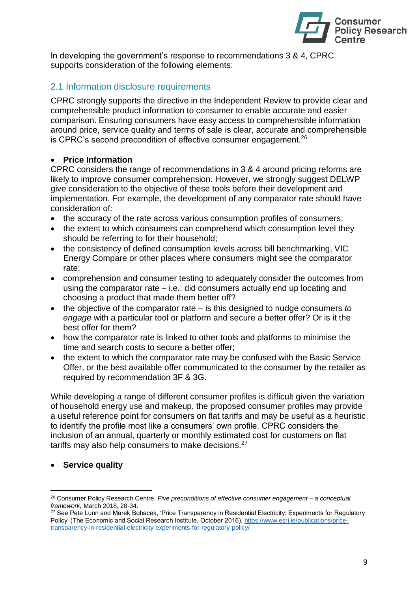

In developing the government's response to recommendations 3 & 4, CPRC supports consideration of the following elements:

# 2.1 Information disclosure requirements

CPRC strongly supports the directive in the Independent Review to provide clear and comprehensible product information to consumer to enable accurate and easier comparison. Ensuring consumers have easy access to comprehensible information around price, service quality and terms of sale is clear, accurate and comprehensible is CPRC's second precondition of effective consumer engagement.<sup>26</sup>

#### • **Price Information**

CPRC considers the range of recommendations in 3 & 4 around pricing reforms are likely to improve consumer comprehension. However, we strongly suggest DELWP give consideration to the objective of these tools before their development and implementation. For example, the development of any comparator rate should have consideration of:

- the accuracy of the rate across various consumption profiles of consumers;
- the extent to which consumers can comprehend which consumption level they should be referring to for their household;
- the consistency of defined consumption levels across bill benchmarking, VIC Energy Compare or other places where consumers might see the comparator rate;
- comprehension and consumer testing to adequately consider the outcomes from using the comparator rate – i.e.: did consumers actually end up locating and choosing a product that made them better off?
- the objective of the comparator rate is this designed to nudge consumers *to engage* with a particular tool or platform and secure a better offer? Or is it the best offer for them?
- how the comparator rate is linked to other tools and platforms to minimise the time and search costs to secure a better offer;
- the extent to which the comparator rate may be confused with the Basic Service Offer, or the best available offer communicated to the consumer by the retailer as required by recommendation 3F & 3G.

While developing a range of different consumer profiles is difficult given the variation of household energy use and makeup, the proposed consumer profiles may provide a useful reference point for consumers on flat tariffs and may be useful as a heuristic to identify the profile most like a consumers' own profile. CPRC considers the inclusion of an annual, quarterly or monthly estimated cost for customers on flat tariffs may also help consumers to make decisions.<sup>27</sup>

• **Service quality**

<sup>26</sup> Consumer Policy Research Centre, *Five preconditions of effective consumer engagement – a conceptual framework,* March 2018, 28-34.

<sup>&</sup>lt;sup>27</sup> See Pete Lunn and Marek Bohacek, 'Price Transparency in Residential Electricity: Experiments for Regulatory Policy' (The Economic and Social Research Institute, October 2016). [https://www.esri.ie/publications/price](https://www.esri.ie/publications/price-transparency-in-residential-electricity-experiments-for-regulatory-policy/)[transparency-in-residential-electricity-experiments-for-regulatory-policy/](https://www.esri.ie/publications/price-transparency-in-residential-electricity-experiments-for-regulatory-policy/)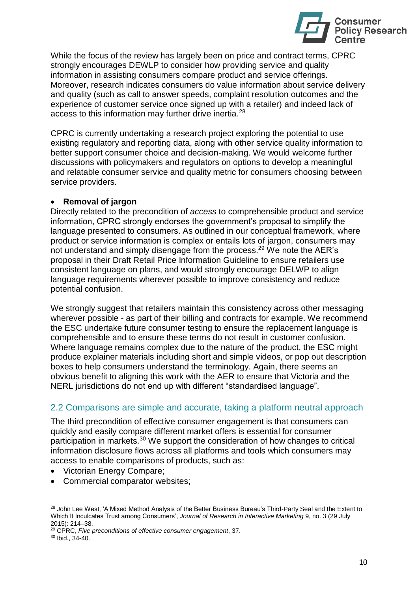

While the focus of the review has largely been on price and contract terms, CPRC strongly encourages DEWLP to consider how providing service and quality information in assisting consumers compare product and service offerings. Moreover, research indicates consumers do value information about service delivery and quality (such as call to answer speeds, complaint resolution outcomes and the experience of customer service once signed up with a retailer) and indeed lack of access to this information may further drive inertia.<sup>28</sup>

CPRC is currently undertaking a research project exploring the potential to use existing regulatory and reporting data, along with other service quality information to better support consumer choice and decision-making. We would welcome further discussions with policymakers and regulators on options to develop a meaningful and relatable consumer service and quality metric for consumers choosing between service providers.

#### • **Removal of jargon**

Directly related to the precondition of *access* to comprehensible product and service information, CPRC strongly endorses the government's proposal to simplify the language presented to consumers. As outlined in our conceptual framework, where product or service information is complex or entails lots of jargon, consumers may not understand and simply disengage from the process.<sup>29</sup> We note the AER's proposal in their Draft Retail Price Information Guideline to ensure retailers use consistent language on plans, and would strongly encourage DELWP to align language requirements wherever possible to improve consistency and reduce potential confusion.

We strongly suggest that retailers maintain this consistency across other messaging wherever possible - as part of their billing and contracts for example. We recommend the ESC undertake future consumer testing to ensure the replacement language is comprehensible and to ensure these terms do not result in customer confusion. Where language remains complex due to the nature of the product, the ESC might produce explainer materials including short and simple videos, or pop out description boxes to help consumers understand the terminology. Again, there seems an obvious benefit to aligning this work with the AER to ensure that Victoria and the NERL jurisdictions do not end up with different "standardised language".

# 2.2 Comparisons are simple and accurate, taking a platform neutral approach

The third precondition of effective consumer engagement is that consumers can quickly and easily compare different market offers is essential for consumer participation in markets.<sup>30</sup> We support the consideration of how changes to critical information disclosure flows across all platforms and tools which consumers may access to enable comparisons of products, such as:

- Victorian Energy Compare;
- Commercial comparator websites;

 $\overline{a}$ <sup>28</sup> John Lee West, 'A Mixed Method Analysis of the Better Business Bureau's Third-Party Seal and the Extent to Which It Inculcates Trust among Consumers', *Journal of Research in Interactive Marketing* 9, no. 3 (29 July 2015): 214–38.

<sup>29</sup> CPRC, *Five preconditions of effective consumer engagement*, 37.

<sup>30</sup> Ibid., 34-40.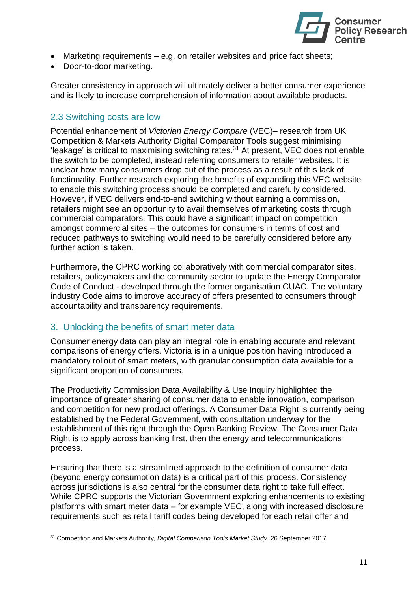

- Marketing requirements e.g. on retailer websites and price fact sheets;
- Door-to-door marketing.

Greater consistency in approach will ultimately deliver a better consumer experience and is likely to increase comprehension of information about available products.

# 2.3 Switching costs are low

Potential enhancement of *Victorian Energy Compare* (VEC)– research from UK Competition & Markets Authority Digital Comparator Tools suggest minimising 'leakage' is critical to maximising switching rates.<sup>31</sup> At present, VEC does not enable the switch to be completed, instead referring consumers to retailer websites. It is unclear how many consumers drop out of the process as a result of this lack of functionality. Further research exploring the benefits of expanding this VEC website to enable this switching process should be completed and carefully considered. However, if VEC delivers end-to-end switching without earning a commission, retailers might see an opportunity to avail themselves of marketing costs through commercial comparators. This could have a significant impact on competition amongst commercial sites – the outcomes for consumers in terms of cost and reduced pathways to switching would need to be carefully considered before any further action is taken.

Furthermore, the CPRC working collaboratively with commercial comparator sites, retailers, policymakers and the community sector to update the Energy Comparator Code of Conduct - developed through the former organisation CUAC. The voluntary industry Code aims to improve accuracy of offers presented to consumers through accountability and transparency requirements.

#### 3. Unlocking the benefits of smart meter data

 $\overline{a}$ 

Consumer energy data can play an integral role in enabling accurate and relevant comparisons of energy offers. Victoria is in a unique position having introduced a mandatory rollout of smart meters, with granular consumption data available for a significant proportion of consumers.

The Productivity Commission Data Availability & Use Inquiry highlighted the importance of greater sharing of consumer data to enable innovation, comparison and competition for new product offerings. A Consumer Data Right is currently being established by the Federal Government, with consultation underway for the establishment of this right through the Open Banking Review. The Consumer Data Right is to apply across banking first, then the energy and telecommunications process.

Ensuring that there is a streamlined approach to the definition of consumer data (beyond energy consumption data) is a critical part of this process. Consistency across jurisdictions is also central for the consumer data right to take full effect. While CPRC supports the Victorian Government exploring enhancements to existing platforms with smart meter data – for example VEC, along with increased disclosure requirements such as retail tariff codes being developed for each retail offer and

<sup>31</sup> Competition and Markets Authority, *Digital Comparison Tools Market Study*, 26 September 2017.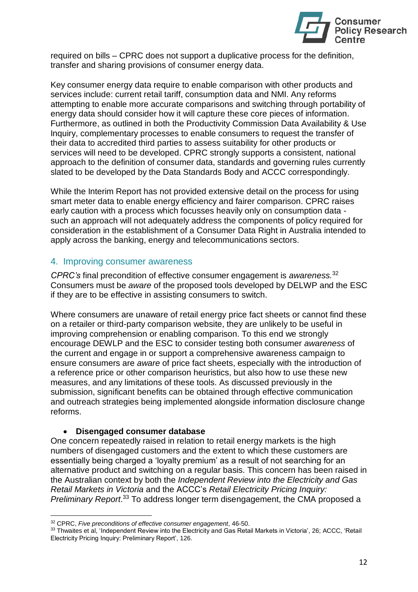

required on bills – CPRC does not support a duplicative process for the definition, transfer and sharing provisions of consumer energy data.

Key consumer energy data require to enable comparison with other products and services include: current retail tariff, consumption data and NMI. Any reforms attempting to enable more accurate comparisons and switching through portability of energy data should consider how it will capture these core pieces of information. Furthermore, as outlined in both the Productivity Commission Data Availability & Use Inquiry, complementary processes to enable consumers to request the transfer of their data to accredited third parties to assess suitability for other products or services will need to be developed. CPRC strongly supports a consistent, national approach to the definition of consumer data, standards and governing rules currently slated to be developed by the Data Standards Body and ACCC correspondingly.

While the Interim Report has not provided extensive detail on the process for using smart meter data to enable energy efficiency and fairer comparison. CPRC raises early caution with a process which focusses heavily only on consumption data such an approach will not adequately address the components of policy required for consideration in the establishment of a Consumer Data Right in Australia intended to apply across the banking, energy and telecommunications sectors.

#### 4. Improving consumer awareness

*CPRC's* final precondition of effective consumer engagement is *awareness.*<sup>32</sup> Consumers must be *aware* of the proposed tools developed by DELWP and the ESC if they are to be effective in assisting consumers to switch.

Where consumers are unaware of retail energy price fact sheets or cannot find these on a retailer or third-party comparison website, they are unlikely to be useful in improving comprehension or enabling comparison. To this end we strongly encourage DEWLP and the ESC to consider testing both consumer *awareness* of the current and engage in or support a comprehensive awareness campaign to ensure consumers are *aware* of price fact sheets, especially with the introduction of a reference price or other comparison heuristics, but also how to use these new measures, and any limitations of these tools. As discussed previously in the submission, significant benefits can be obtained through effective communication and outreach strategies being implemented alongside information disclosure change reforms.

#### • **Disengaged consumer database**

l

One concern repeatedly raised in relation to retail energy markets is the high numbers of disengaged customers and the extent to which these customers are essentially being charged a 'loyalty premium' as a result of not searching for an alternative product and switching on a regular basis. This concern has been raised in the Australian context by both the *Independent Review into the Electricity and Gas Retail Markets in Victoria* and the ACCC's *Retail Electricity Pricing Inquiry: Preliminary Report*. <sup>33</sup> To address longer term disengagement, the CMA proposed a

<sup>32</sup> CPRC, *Five preconditions of effective consumer engagement*, 46-50.

<sup>33</sup> Thwaites et al, 'Independent Review into the Electricity and Gas Retail Markets in Victoria', 26; ACCC, 'Retail Electricity Pricing Inquiry: Preliminary Report', 126.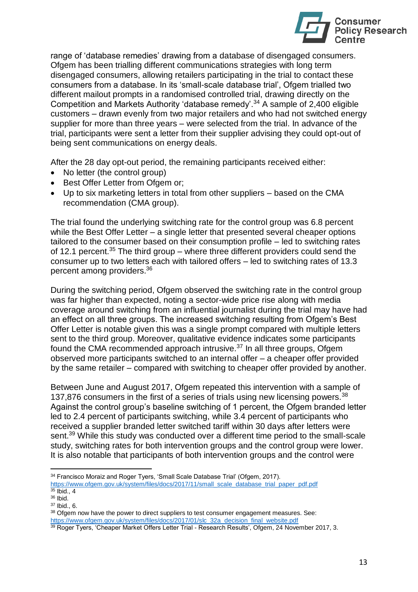

range of 'database remedies' drawing from a database of disengaged consumers. Ofgem has been trialling different communications strategies with long term disengaged consumers, allowing retailers participating in the trial to contact these consumers from a database. In its 'small-scale database trial', Ofgem trialled two different mailout prompts in a randomised controlled trial, drawing directly on the Competition and Markets Authority 'database remedy'.<sup>34</sup> A sample of 2,400 eligible customers – drawn evenly from two major retailers and who had not switched energy supplier for more than three years – were selected from the trial. In advance of the trial, participants were sent a letter from their supplier advising they could opt-out of being sent communications on energy deals.

After the 28 day opt-out period, the remaining participants received either:

- No letter (the control group)
- Best Offer Letter from Ofgem or;
- Up to six marketing letters in total from other suppliers based on the CMA recommendation (CMA group).

The trial found the underlying switching rate for the control group was 6.8 percent while the Best Offer Letter – a single letter that presented several cheaper options tailored to the consumer based on their consumption profile – led to switching rates of 12.1 percent.<sup>35</sup> The third group – where three different providers could send the consumer up to two letters each with tailored offers – led to switching rates of 13.3 percent among providers.<sup>36</sup>

During the switching period, Ofgem observed the switching rate in the control group was far higher than expected, noting a sector-wide price rise along with media coverage around switching from an influential journalist during the trial may have had an effect on all three groups. The increased switching resulting from Ofgem's Best Offer Letter is notable given this was a single prompt compared with multiple letters sent to the third group. Moreover, qualitative evidence indicates some participants found the CMA recommended approach intrusive.<sup>37</sup> In all three groups, Ofgem observed more participants switched to an internal offer – a cheaper offer provided by the same retailer – compared with switching to cheaper offer provided by another.

Between June and August 2017, Ofgem repeated this intervention with a sample of 137,876 consumers in the first of a series of trials using new licensing powers.<sup>38</sup> Against the control group's baseline switching of 1 percent, the Ofgem branded letter led to 2.4 percent of participants switching, while 3.4 percent of participants who received a supplier branded letter switched tariff within 30 days after letters were sent.<sup>39</sup> While this study was conducted over a different time period to the small-scale study, switching rates for both intervention groups and the control group were lower. It is also notable that participants of both intervention groups and the control were

<sup>&</sup>lt;sup>34</sup> Francisco Moraiz and Roger Tyers, 'Small Scale Database Trial' (Ofgem, 2017). https://www.ofgem.gov.uk/system/files/docs/2017/11/small\_scale\_database\_trial\_paper\_pdf.pdf

 $35$  Ibid., 4

<sup>36</sup> Ibid.

<sup>37</sup> Ibid., 6.

<sup>&</sup>lt;sup>38</sup> Ofgem now have the power to direct suppliers to test consumer engagement measures. See: [https://www.ofgem.gov.uk/system/files/docs/2017/01/slc\\_32a\\_decision\\_final\\_website.pdf](https://www.ofgem.gov.uk/system/files/docs/2017/01/slc_32a_decision_final_website.pdf)

<sup>&</sup>lt;sup>39</sup> Roger Tyers, 'Cheaper Market Offers Letter Trial - Research Results', Ofgem, 24 November 2017, 3.